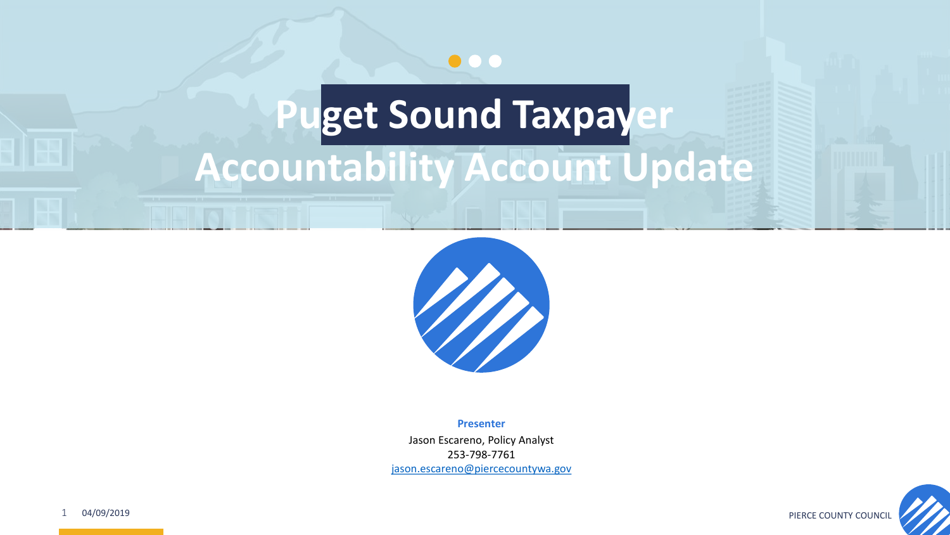

## **Puget Sound Taxpayer Accountability Account Update**



**Presenter**

Jason Escareno, Policy Analyst 253-798-7761 [jason.escareno@piercecountywa.gov](mailto:jescare@co.pierce.wa.us)

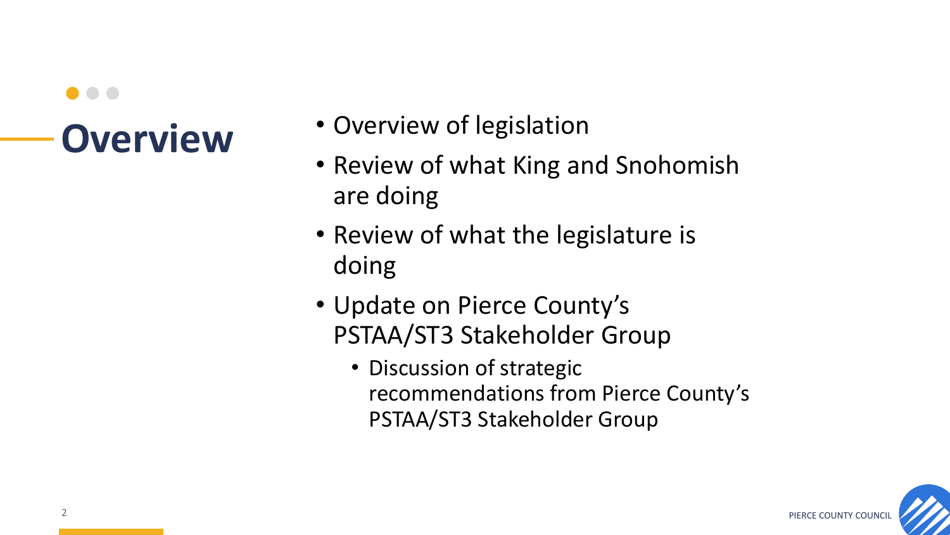- **Overview** Overview of legislation
	- Review of what King and Snohomish are doing
	- Review of what the legislature is doing
	- Update on Pierce County's PSTAA/ST3 Stakeholder Group
		- Discussion of strategic recommendations from Pierce County's PSTAA/ST3 Stakeholder Group

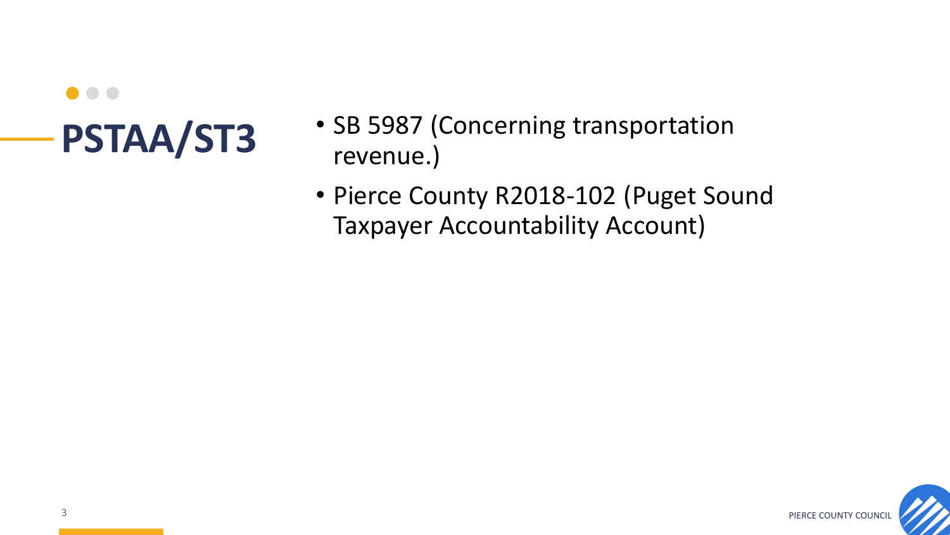- PSTAA/ST3 SB 5987 (Concerning transportation revenue.)
	- Pierce County R2018-102 (Puget Sound Taxpayer Accountability Account)

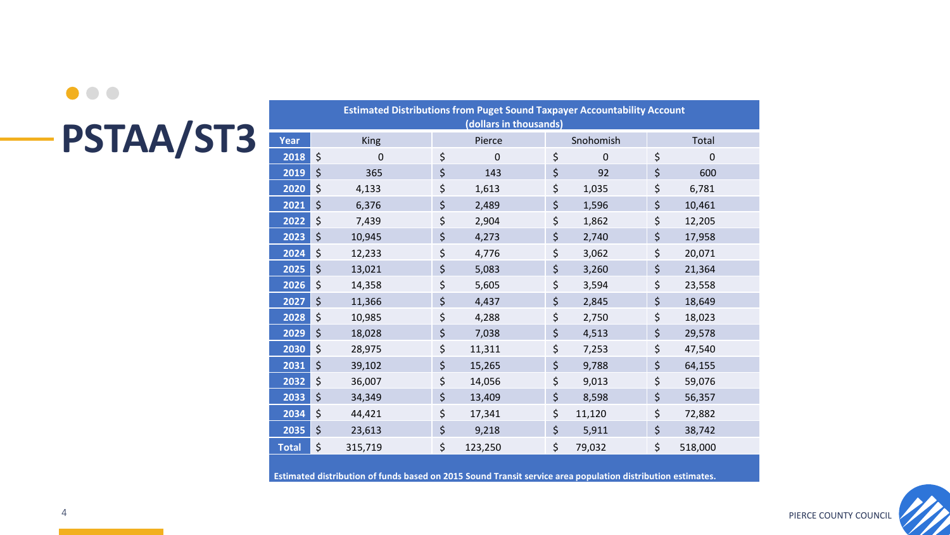### $\bullet\bullet\bullet$ **PSTAA/ST3**

| <b>Estimated Distributions from Puget Sound Taxpayer Accountability Account</b> |         |             |    |             |    |           |    |         |
|---------------------------------------------------------------------------------|---------|-------------|----|-------------|----|-----------|----|---------|
| (dollars in thousands)                                                          |         |             |    |             |    |           |    |         |
| <b>Year</b>                                                                     |         | <b>King</b> |    | Pierce      |    | Snohomish |    | Total   |
| 2018                                                                            | \$      | 0           | \$ | $\mathbf 0$ | \$ | $\pmb{0}$ | \$ | 0       |
| 2019                                                                            | $\zeta$ | 365         | \$ | 143         | \$ | 92        | \$ | 600     |
| 2020                                                                            | \$      | 4,133       | \$ | 1,613       | \$ | 1,035     | \$ | 6,781   |
| 2021                                                                            | \$      | 6,376       | \$ | 2,489       | \$ | 1,596     | \$ | 10,461  |
| 2022                                                                            | $\zeta$ | 7,439       | \$ | 2,904       | \$ | 1,862     | \$ | 12,205  |
| 2023                                                                            | $\zeta$ | 10,945      | \$ | 4,273       | \$ | 2,740     | \$ | 17,958  |
| 2024                                                                            | \$      | 12,233      | \$ | 4,776       | \$ | 3,062     | \$ | 20,071  |
| 2025                                                                            | $\zeta$ | 13,021      | \$ | 5,083       | \$ | 3,260     | \$ | 21,364  |
| 2026                                                                            | \$      | 14,358      | \$ | 5,605       | \$ | 3,594     | \$ | 23,558  |
| 2027                                                                            | \$      | 11,366      | \$ | 4,437       | \$ | 2,845     | \$ | 18,649  |
| 2028                                                                            | $\zeta$ | 10,985      | \$ | 4,288       | \$ | 2,750     | \$ | 18,023  |
| 2029                                                                            | \$      | 18,028      | \$ | 7,038       | \$ | 4,513     | \$ | 29,578  |
| 2030                                                                            | \$      | 28,975      | \$ | 11,311      | \$ | 7,253     | \$ | 47,540  |
| 2031                                                                            | $\zeta$ | 39,102      | \$ | 15,265      | \$ | 9,788     | \$ | 64,155  |
| 2032                                                                            | \$      | 36,007      | \$ | 14,056      | \$ | 9,013     | \$ | 59,076  |
| 2033                                                                            | \$      | 34,349      | \$ | 13,409      | \$ | 8,598     | \$ | 56,357  |
| 2034                                                                            | \$      | 44,421      | \$ | 17,341      | \$ | 11,120    | \$ | 72,882  |
| 2035                                                                            | $\zeta$ | 23,613      | \$ | 9,218       | \$ | 5,911     | \$ | 38,742  |
| <b>Total</b>                                                                    | \$      | 315,719     | \$ | 123,250     | \$ | 79,032    | \$ | 518,000 |
|                                                                                 |         |             |    |             |    |           |    |         |

**Estimated distribution of funds based on 2015 Sound Transit service area population distribution estimates.** 

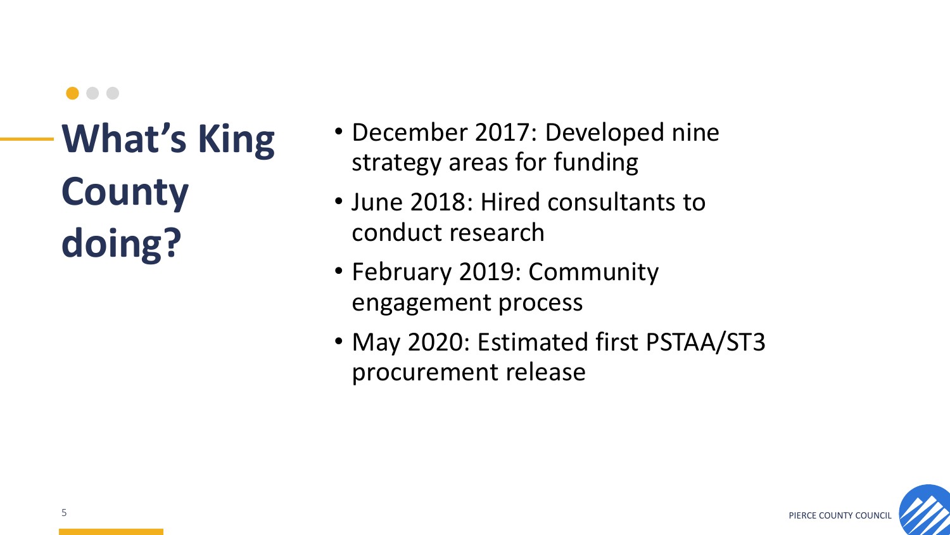**What's King County doing?**

- December 2017: Developed nine strategy areas for funding
- June 2018: Hired consultants to conduct research
- February 2019: Community engagement process
- May 2020: Estimated first PSTAA/ST3 procurement release

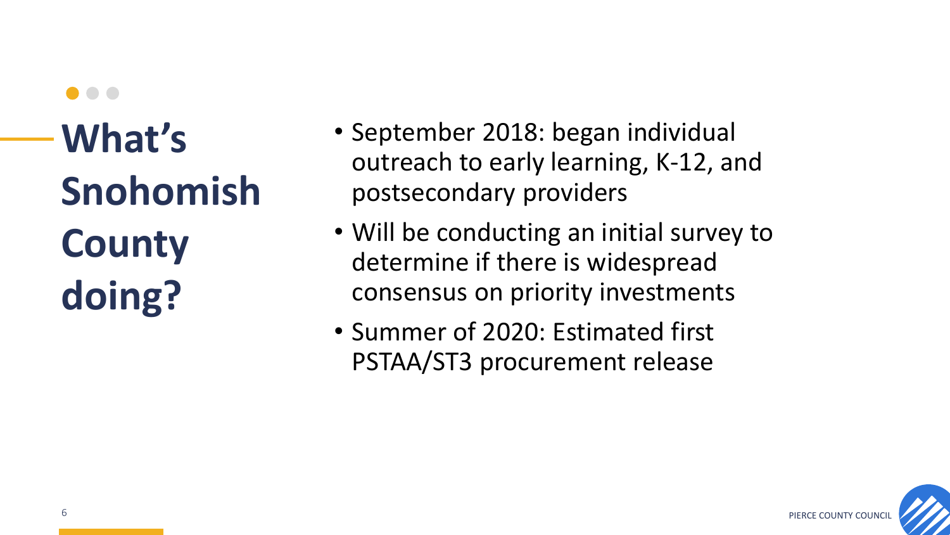## **What's Snohomish County doing?**

- September 2018: began individual outreach to early learning, K-12, and postsecondary providers
- Will be conducting an initial survey to determine if there is widespread consensus on priority investments
- Summer of 2020: Estimated first PSTAA/ST3 procurement release

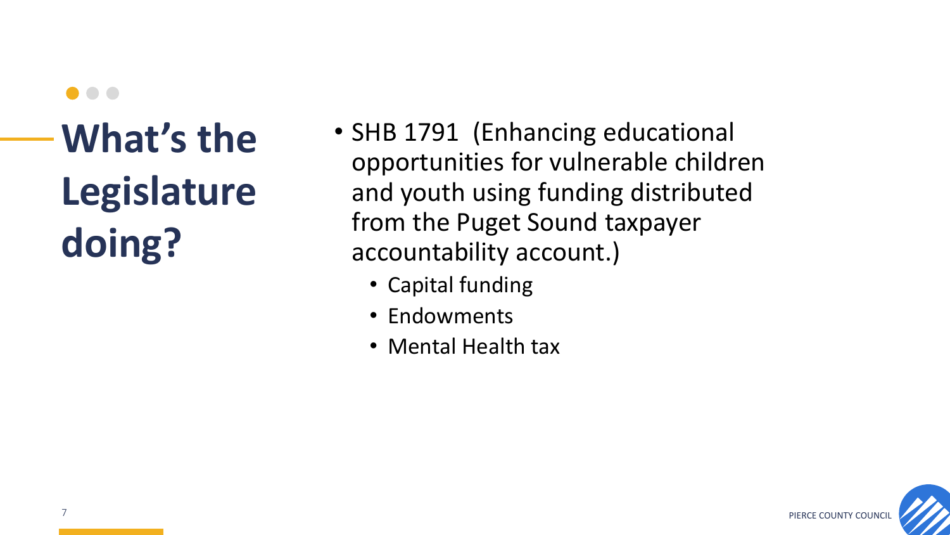**What's the Legislature doing?**

- SHB 1791 (Enhancing educational opportunities for vulnerable children and youth using funding distributed from the Puget Sound taxpayer accountability account.)
	- Capital funding
	- Endowments
	- Mental Health tax

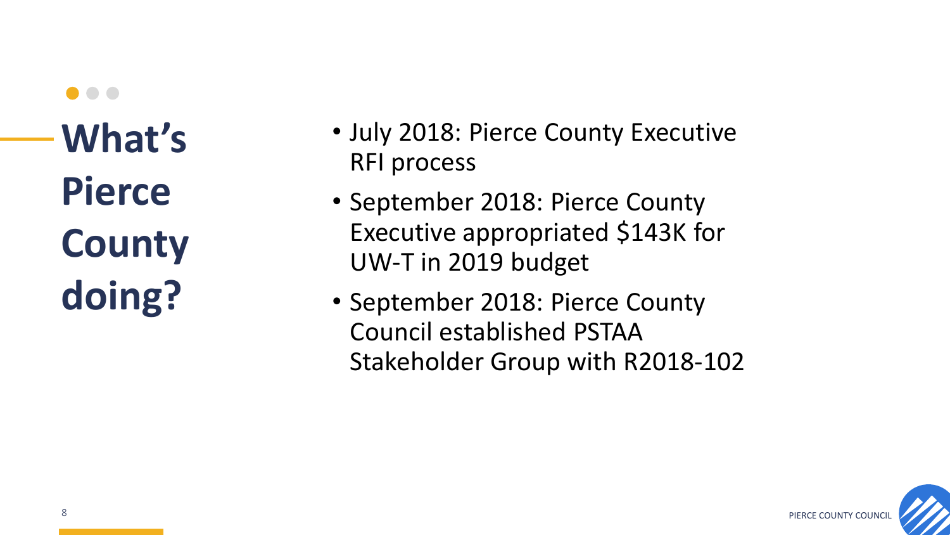- July 2018: Pierce County Executive RFI process
- September 2018: Pierce County Executive appropriated \$143K for UW-T in 2019 budget
- September 2018: Pierce County Council established PSTAA Stakeholder Group with R2018-102

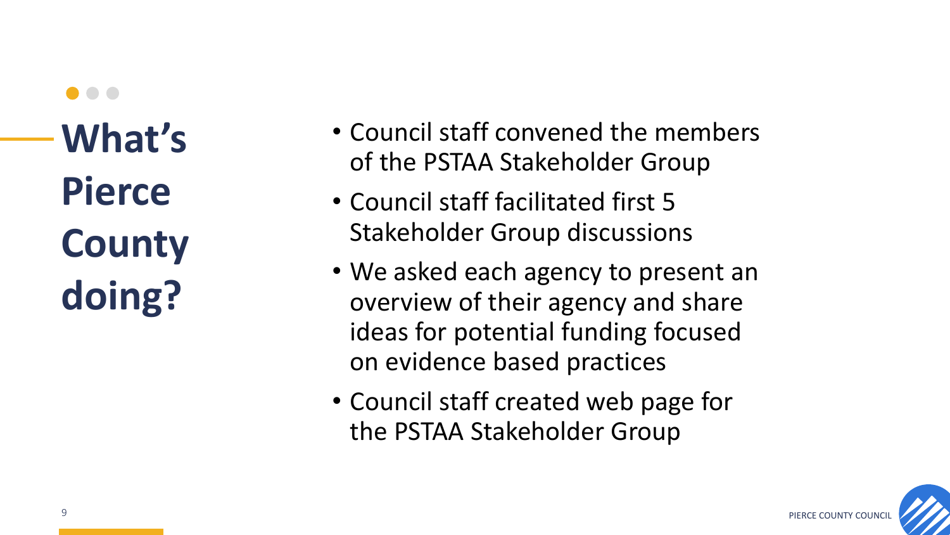- Council staff convened the members of the PSTAA Stakeholder Group
- Council staff facilitated first 5 Stakeholder Group discussions
- We asked each agency to present an overview of their agency and share ideas for potential funding focused on evidence based practices
- Council staff created web page for the PSTAA Stakeholder Group

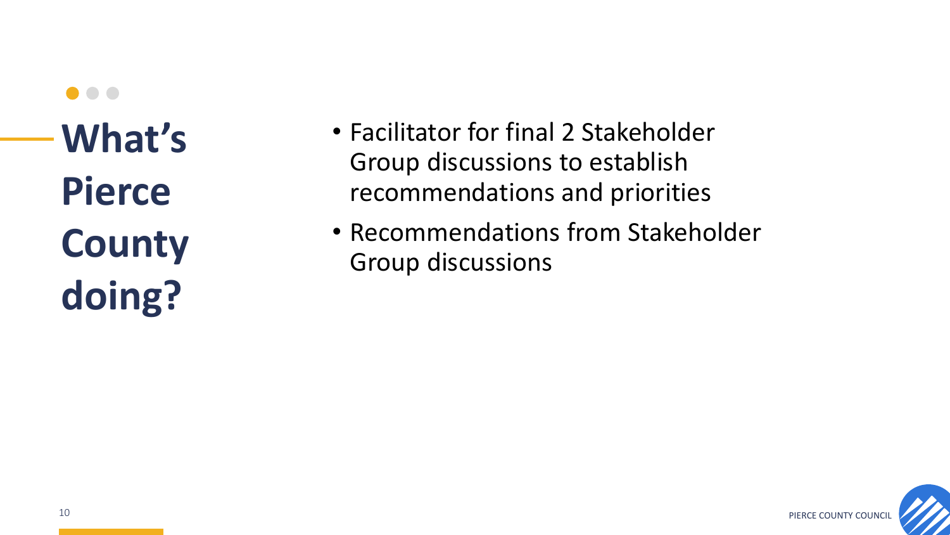- Facilitator for final 2 Stakeholder Group discussions to establish recommendations and priorities
- Recommendations from Stakeholder Group discussions

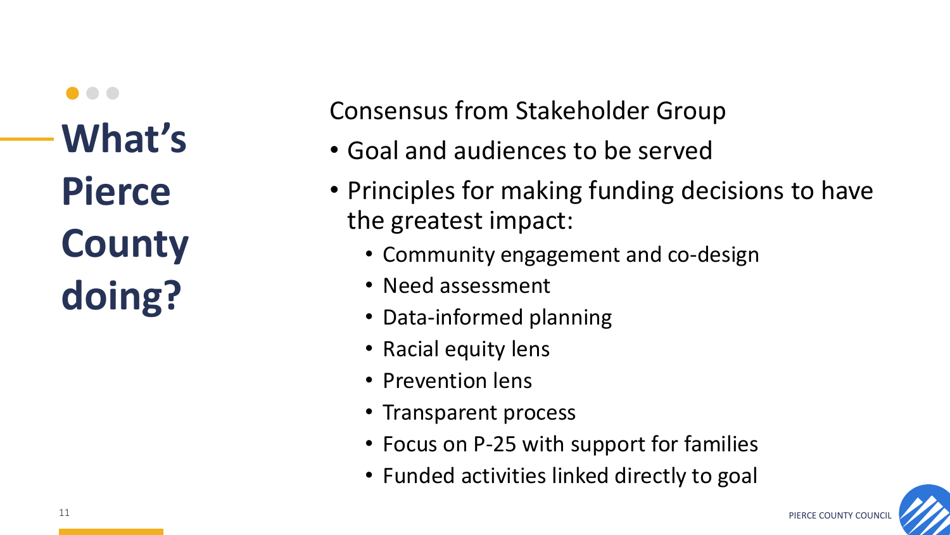Consensus from Stakeholder Group

- Goal and audiences to be served
- Principles for making funding decisions to have the greatest impact:
	- Community engagement and co-design
	- Need assessment
	- Data-informed planning
	- Racial equity lens
	- Prevention lens
	- Transparent process
	- Focus on P-25 with support for families
	- Funded activities linked directly to goal

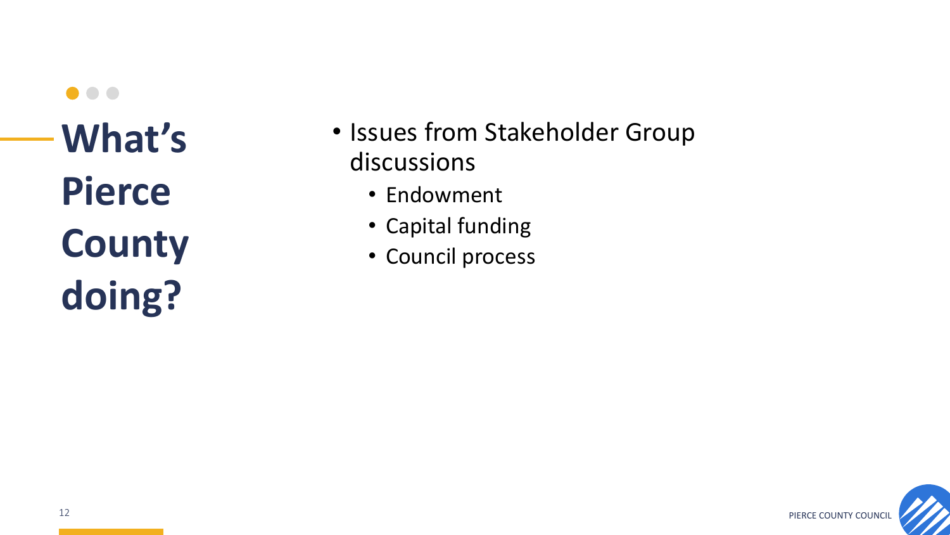$\bullet\bullet\bullet$ **What's Pierce County doing?**

- Issues from Stakeholder Group discussions
	- Endowment
	- Capital funding
	- Council process

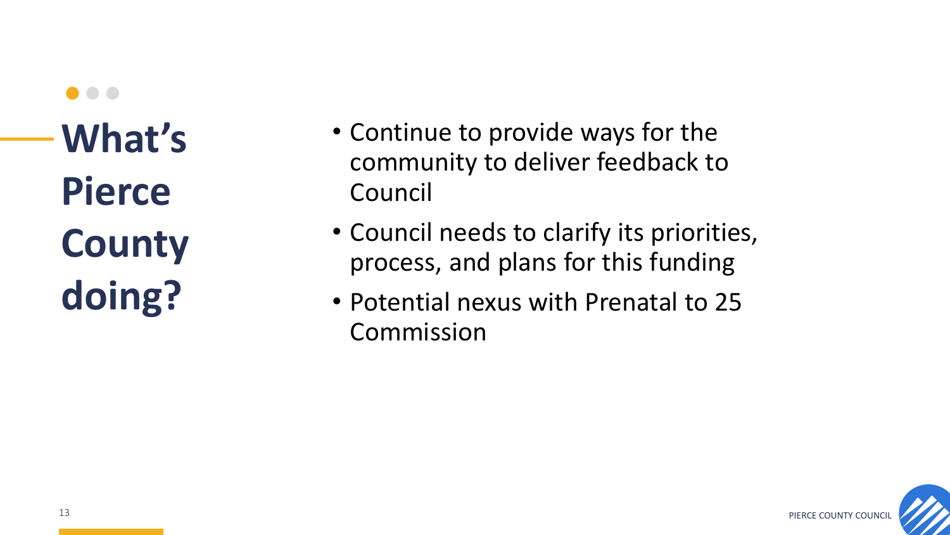- Continue to provide ways for the community to deliver feedback to Council
- Council needs to clarify its priorities, process, and plans for this funding
- Potential nexus with Prenatal to 25 Commission